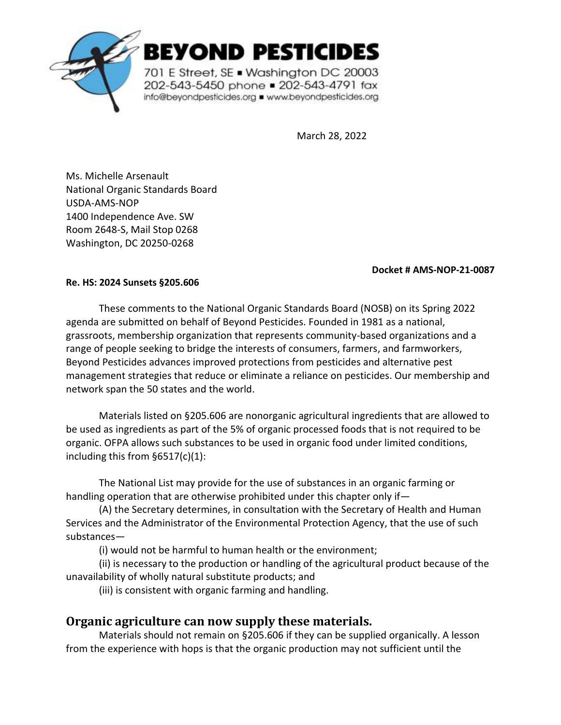

BEYOND PESTICIDES

701 E Street, SE . Washington DC 20003 202-543-5450 phone = 202-543-4791 fax info@beyondpesticides.org = www.beyondpesticides.org

March 28, 2022

Ms. Michelle Arsenault National Organic Standards Board USDA-AMS-NOP 1400 Independence Ave. SW Room 2648-S, Mail Stop 0268 Washington, DC 20250-0268

## **Docket # AMS-NOP-21-0087**

## **Re. HS: 2024 Sunsets §205.606**

These comments to the National Organic Standards Board (NOSB) on its Spring 2022 agenda are submitted on behalf of Beyond Pesticides. Founded in 1981 as a national, grassroots, membership organization that represents community-based organizations and a range of people seeking to bridge the interests of consumers, farmers, and farmworkers, Beyond Pesticides advances improved protections from pesticides and alternative pest management strategies that reduce or eliminate a reliance on pesticides. Our membership and network span the 50 states and the world.

Materials listed on §205.606 are nonorganic agricultural ingredients that are allowed to be used as ingredients as part of the 5% of organic processed foods that is not required to be organic. OFPA allows such substances to be used in organic food under limited conditions, including this from §6517(c)(1):

The National List may provide for the use of substances in an organic farming or handling operation that are otherwise prohibited under this chapter only if—

(A) the Secretary determines, in consultation with the Secretary of Health and Human Services and the Administrator of the Environmental Protection Agency, that the use of such substances—

(i) would not be harmful to human health or the environment;

(ii) is necessary to the production or handling of the agricultural product because of the unavailability of wholly natural substitute products; and

(iii) is consistent with organic farming and handling.

# **Organic agriculture can now supply these materials.**

Materials should not remain on §205.606 if they can be supplied organically. A lesson from the experience with hops is that the organic production may not sufficient until the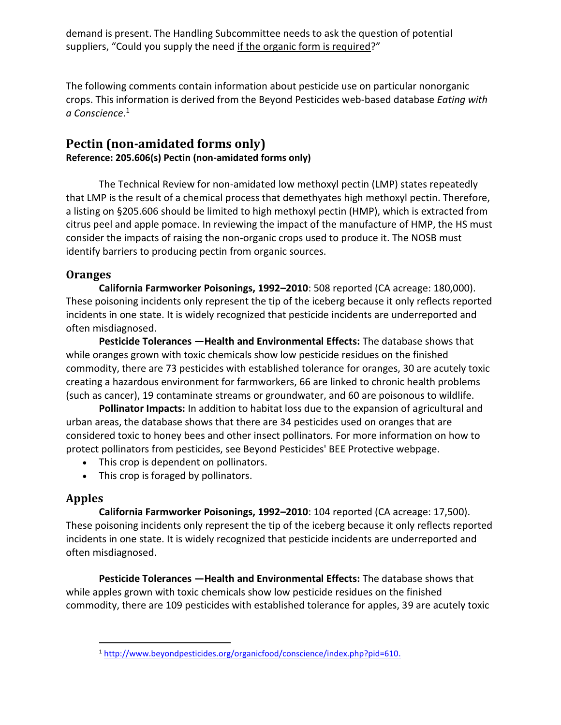demand is present. The Handling Subcommittee needs to ask the question of potential suppliers, "Could you supply the need if the organic form is required?"

The following comments contain information about pesticide use on particular nonorganic crops. This information is derived from the Beyond Pesticides web-based database *Eating with a Conscience*. 1

## **Pectin (non-amidated forms only) Reference: 205.606(s) Pectin (non-amidated forms only)**

The Technical Review for non-amidated low methoxyl pectin (LMP) states repeatedly that LMP is the result of a chemical process that demethyates high methoxyl pectin. Therefore, a listing on §205.606 should be limited to high methoxyl pectin (HMP), which is extracted from citrus peel and apple pomace. In reviewing the impact of the manufacture of HMP, the HS must consider the impacts of raising the non-organic crops used to produce it. The NOSB must identify barriers to producing pectin from organic sources.

## **Oranges**

**California Farmworker Poisonings, 1992–2010**: 508 reported (CA acreage: 180,000). These poisoning incidents only represent the tip of the iceberg because it only reflects reported incidents in one state. It is widely recognized that pesticide incidents are underreported and often misdiagnosed.

**Pesticide Tolerances —Health and Environmental Effects:** The database shows that while oranges grown with toxic chemicals show low pesticide residues on the finished commodity, there are 73 pesticides with established tolerance for oranges, 30 are acutely toxic creating a hazardous environment for farmworkers, 66 are linked to chronic health problems (such as cancer), 19 contaminate streams or groundwater, and 60 are poisonous to wildlife.

**Pollinator Impacts:** In addition to habitat loss due to the expansion of agricultural and urban areas, the database shows that there are 34 pesticides used on oranges that are considered toxic to honey bees and other insect pollinators. For more information on how to protect pollinators from pesticides, see Beyond Pesticides' BEE Protective webpage.

- This crop is dependent on pollinators.
- This crop is foraged by pollinators.

# **Apples**

**California Farmworker Poisonings, 1992–2010**: 104 reported (CA acreage: 17,500). These poisoning incidents only represent the tip of the iceberg because it only reflects reported incidents in one state. It is widely recognized that pesticide incidents are underreported and often misdiagnosed.

**Pesticide Tolerances —Health and Environmental Effects:** The database shows that while apples grown with toxic chemicals show low pesticide residues on the finished commodity, there are 109 pesticides with established tolerance for apples, 39 are acutely toxic

<sup>1</sup> [http://www.beyondpesticides.org/organicfood/conscience/index.php?pid=610.](http://www.beyondpesticides.org/organicfood/conscience/index.php?pid=610)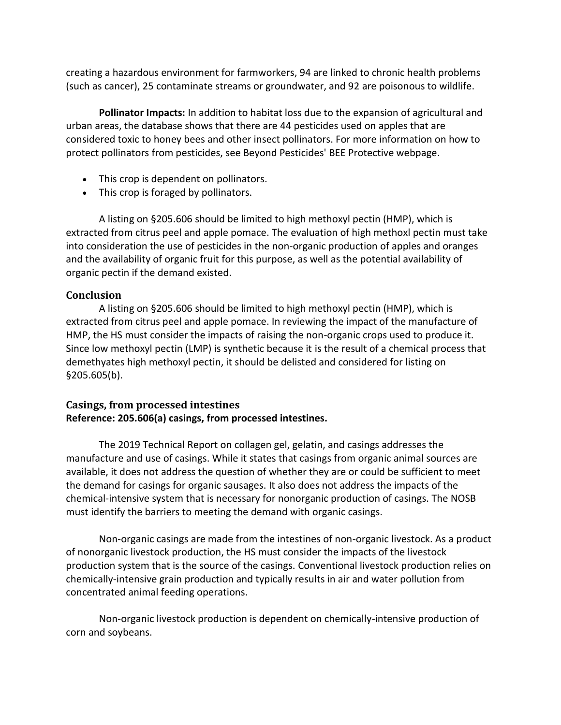creating a hazardous environment for farmworkers, 94 are linked to chronic health problems (such as cancer), 25 contaminate streams or groundwater, and 92 are poisonous to wildlife.

**Pollinator Impacts:** In addition to habitat loss due to the expansion of agricultural and urban areas, the database shows that there are 44 pesticides used on apples that are considered toxic to honey bees and other insect pollinators. For more information on how to protect pollinators from pesticides, see Beyond Pesticides' BEE Protective webpage.

- This crop is dependent on pollinators.
- This crop is foraged by pollinators.

A listing on §205.606 should be limited to high methoxyl pectin (HMP), which is extracted from citrus peel and apple pomace. The evaluation of high methoxl pectin must take into consideration the use of pesticides in the non-organic production of apples and oranges and the availability of organic fruit for this purpose, as well as the potential availability of organic pectin if the demand existed.

## **Conclusion**

A listing on §205.606 should be limited to high methoxyl pectin (HMP), which is extracted from citrus peel and apple pomace. In reviewing the impact of the manufacture of HMP, the HS must consider the impacts of raising the non-organic crops used to produce it. Since low methoxyl pectin (LMP) is synthetic because it is the result of a chemical process that demethyates high methoxyl pectin, it should be delisted and considered for listing on §205.605(b).

## **Casings, from processed intestines Reference: 205.606(a) casings, from processed intestines.**

The 2019 Technical Report on collagen gel, gelatin, and casings addresses the manufacture and use of casings. While it states that casings from organic animal sources are available, it does not address the question of whether they are or could be sufficient to meet the demand for casings for organic sausages. It also does not address the impacts of the chemical-intensive system that is necessary for nonorganic production of casings. The NOSB must identify the barriers to meeting the demand with organic casings.

Non-organic casings are made from the intestines of non-organic livestock. As a product of nonorganic livestock production, the HS must consider the impacts of the livestock production system that is the source of the casings. Conventional livestock production relies on chemically-intensive grain production and typically results in air and water pollution from concentrated animal feeding operations.

Non-organic livestock production is dependent on chemically-intensive production of corn and soybeans.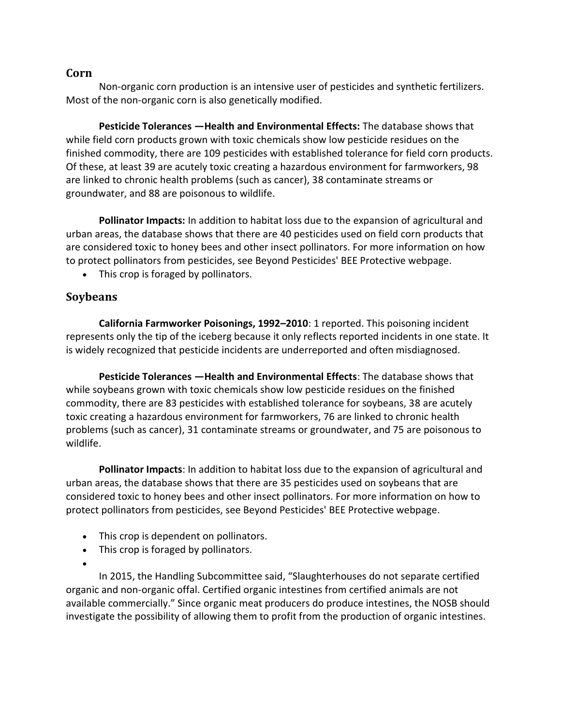## **Corn**

Non-organic corn production is an intensive user of pesticides and synthetic fertilizers. Most of the non-organic corn is also genetically modified.

**Pesticide Tolerances —Health and Environmental Effects:** The database shows that while field corn products grown with toxic chemicals show low pesticide residues on the finished commodity, there are 109 pesticides with established tolerance for field corn products. Of these, at least 39 are acutely toxic creating a hazardous environment for farmworkers, 98 are linked to chronic health problems (such as cancer), 38 contaminate streams or groundwater, and 88 are poisonous to wildlife.

**Pollinator Impacts:** In addition to habitat loss due to the expansion of agricultural and urban areas, the database shows that there are 40 pesticides used on field corn products that are considered toxic to honey bees and other insect pollinators. For more information on how to protect pollinators from pesticides, see Beyond Pesticides' BEE Protective webpage.

• This crop is foraged by pollinators.

## **Soybeans**

**California Farmworker Poisonings, 1992–2010**: 1 reported. This poisoning incident represents only the tip of the iceberg because it only reflects reported incidents in one state. It is widely recognized that pesticide incidents are underreported and often misdiagnosed.

**Pesticide Tolerances —Health and Environmental Effects**: The database shows that while soybeans grown with toxic chemicals show low pesticide residues on the finished commodity, there are 83 pesticides with established tolerance for soybeans, 38 are acutely toxic creating a hazardous environment for [farmworkers,](http://www.beyondpesticides.org/organicfood/conscience/farmworkers.php) 76 are linked to chronic health problems (such as cancer), 31 contaminate streams or groundwater, and 75 are poisonous to wildlife.

**Pollinator Impacts**: In addition to habitat loss due to the expansion of agricultural and urban areas, the database shows that there are 35 pesticides used on soybeans that are considered toxic to honey bees and other insect pollinators. For more information on how to protect pollinators from pesticides, see Beyond Pesticides' [BEE Protective webpage.](http://www.beeprotective.org/)

- This crop is dependent on pollinators.
- This crop is foraged by pollinators.
- •

In 2015, the Handling Subcommittee said, "Slaughterhouses do not separate certified organic and non-organic offal. Certified organic intestines from certified animals are not available commercially." Since organic meat producers do produce intestines, the NOSB should investigate the possibility of allowing them to profit from the production of organic intestines.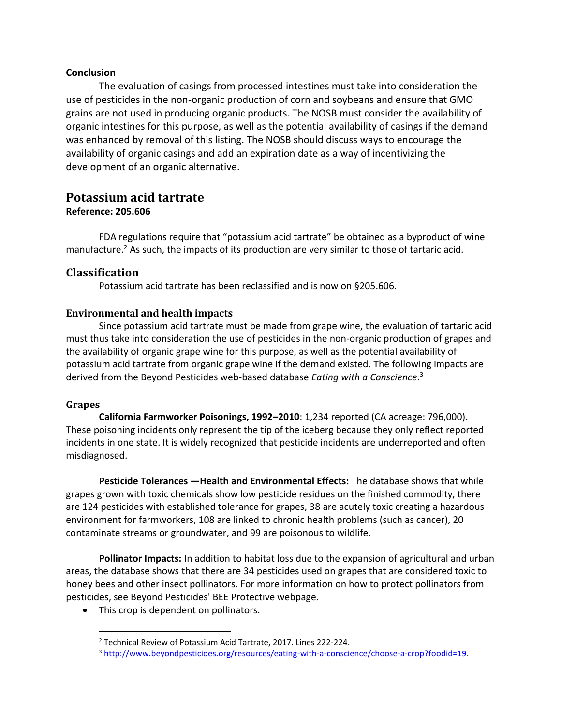#### **Conclusion**

The evaluation of casings from processed intestines must take into consideration the use of pesticides in the non-organic production of corn and soybeans and ensure that GMO grains are not used in producing organic products. The NOSB must consider the availability of organic intestines for this purpose, as well as the potential availability of casings if the demand was enhanced by removal of this listing. The NOSB should discuss ways to encourage the availability of organic casings and add an expiration date as a way of incentivizing the development of an organic alternative.

# **Potassium acid tartrate**

## **Reference: 205.606**

FDA regulations require that "potassium acid tartrate" be obtained as a byproduct of wine manufacture.<sup>2</sup> As such, the impacts of its production are very similar to those of tartaric acid.

## **Classification**

Potassium acid tartrate has been reclassified and is now on §205.606.

## **Environmental and health impacts**

Since potassium acid tartrate must be made from grape wine, the evaluation of tartaric acid must thus take into consideration the use of pesticides in the non-organic production of grapes and the availability of organic grape wine for this purpose, as well as the potential availability of potassium acid tartrate from organic grape wine if the demand existed. The following impacts are derived from the Beyond Pesticides web-based database *Eating with a Conscience*. 3

## **Grapes**

**California Farmworker Poisonings, 1992–2010**: 1,234 reported (CA acreage: 796,000). These poisoning incidents only represent the tip of the iceberg because they only reflect reported incidents in one state. It is widely recognized that pesticide incidents are underreported and often misdiagnosed.

**Pesticide Tolerances —Health and Environmental Effects:** The database shows that while grapes grown with toxic chemicals show low pesticide residues on the finished commodity, there are 124 pesticides with established tolerance for grapes, 38 are acutely toxic creating a hazardous environment for [farmworkers,](http://www.beyondpesticides.org/organicfood/conscience/farmworkers.php) 108 are linked to chronic health problems (such as cancer), 20 contaminate streams or groundwater, and 99 are poisonous to wildlife.

**Pollinator Impacts:** In addition to habitat loss due to the expansion of agricultural and urban areas, the database shows that there are 34 pesticides used on grapes that are considered toxic to honey bees and other insect pollinators. For more information on how to protect pollinators from pesticides, see Beyond Pesticides' [BEE Protective webpage.](http://www.beeprotective.org/)

• This crop is dependent on pollinators.

<sup>2</sup> Technical Review of Potassium Acid Tartrate, 2017. Lines 222-224.

<sup>3</sup> [http://www.beyondpesticides.org/resources/eating-with-a-conscience/choose-a-crop?foodid=19.](http://www.beyondpesticides.org/resources/eating-with-a-conscience/choose-a-crop?foodid=19)